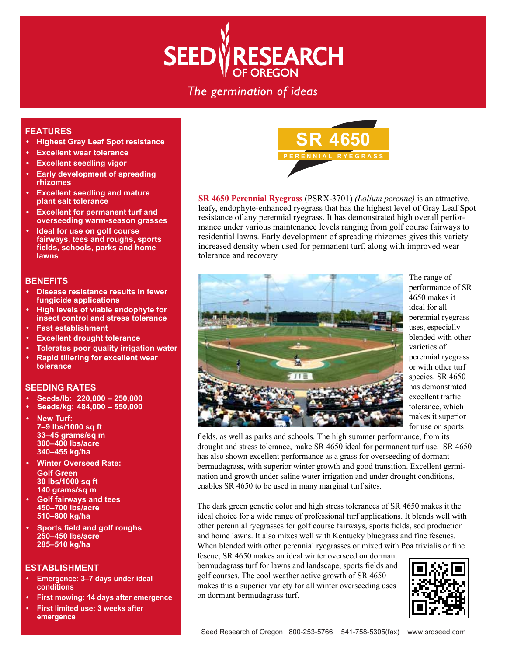# **ESEARCH SEEDW**

# The germination of ideas

## **FEATURES**

- **Highest Gray Leaf Spot resistance**
- **Excellent wear tolerance**
- **Excellent seedling vigor**
- **Early development of spreading rhizomes**
- **Excellent seedling and mature plant salt tolerance**
- **Excellent for permanent turf and overseeding warm-season grasses**
- **Ideal for use on golf course fairways, tees and roughs, sports fields, schools, parks and home lawns**

#### **BENEFITS**

- **Disease resistance results in fewer fungicide applications**
- **High levels of viable endophyte for insect control and stress tolerance**
- **Fast establishment**
- **Excellent drought tolerance**
- **Tolerates poor quality irrigation water**
- **Rapid tillering for excellent wear tolerance**

### **SEEDING RATES**

- **Seeds/lb: 220,000 250,000**
- **Seeds/kg: 484,000 550,000**
- **New Turf: 7–9 lbs/1000 sq ft 33–45 grams/sq m 300–400 lbs/acre 340–455 kg/ha**
- **Winter Overseed Rate: Golf Green 30 lbs/1000 sq ft 140 grams/sq m**
- **Golf fairways and tees 450–700 lbs/acre 510–800 kg/ha**
- **Sports field and golf roughs 250–450 lbs/acre 285–510 kg/ha**

#### **ESTABLISHMENT**

- **Emergence: 3–7 days under ideal conditions**
- **First mowing: 14 days after emergence**
- **First limited use: 3 weeks after emergence**



**SR 4650 Perennial Ryegrass** (PSRX-3701) *(Lolium perenne)* is an attractive, leafy, endophyte-enhanced ryegrass that has the highest level of Gray Leaf Spot resistance of any perennial ryegrass. It has demonstrated high overall performance under various maintenance levels ranging from golf course fairways to residential lawns. Early development of spreading rhizomes gives this variety increased density when used for permanent turf, along with improved wear tolerance and recovery.



The range of performance of SR 4650 makes it ideal for all perennial ryegrass uses, especially blended with other varieties of perennial ryegrass or with other turf species. SR 4650 has demonstrated excellent traffic tolerance, which makes it superior for use on sports

fields, as well as parks and schools. The high summer performance, from its drought and stress tolerance, make SR 4650 ideal for permanent turf use. SR 4650 has also shown excellent performance as a grass for overseeding of dormant bermudagrass, with superior winter growth and good transition. Excellent germination and growth under saline water irrigation and under drought conditions, enables SR 4650 to be used in many marginal turf sites.

The dark green genetic color and high stress tolerances of SR 4650 makes it the ideal choice for a wide range of professional turf applications. It blends well with other perennial ryegrasses for golf course fairways, sports fields, sod production and home lawns. It also mixes well with Kentucky bluegrass and fine fescues. When blended with other perennial ryegrasses or mixed with Poa trivialis or fine

fescue, SR 4650 makes an ideal winter overseed on dormant bermudagrass turf for lawns and landscape, sports fields and golf courses. The cool weather active growth of SR 4650 makes this a superior variety for all winter overseeding uses on dormant bermudagrass turf.